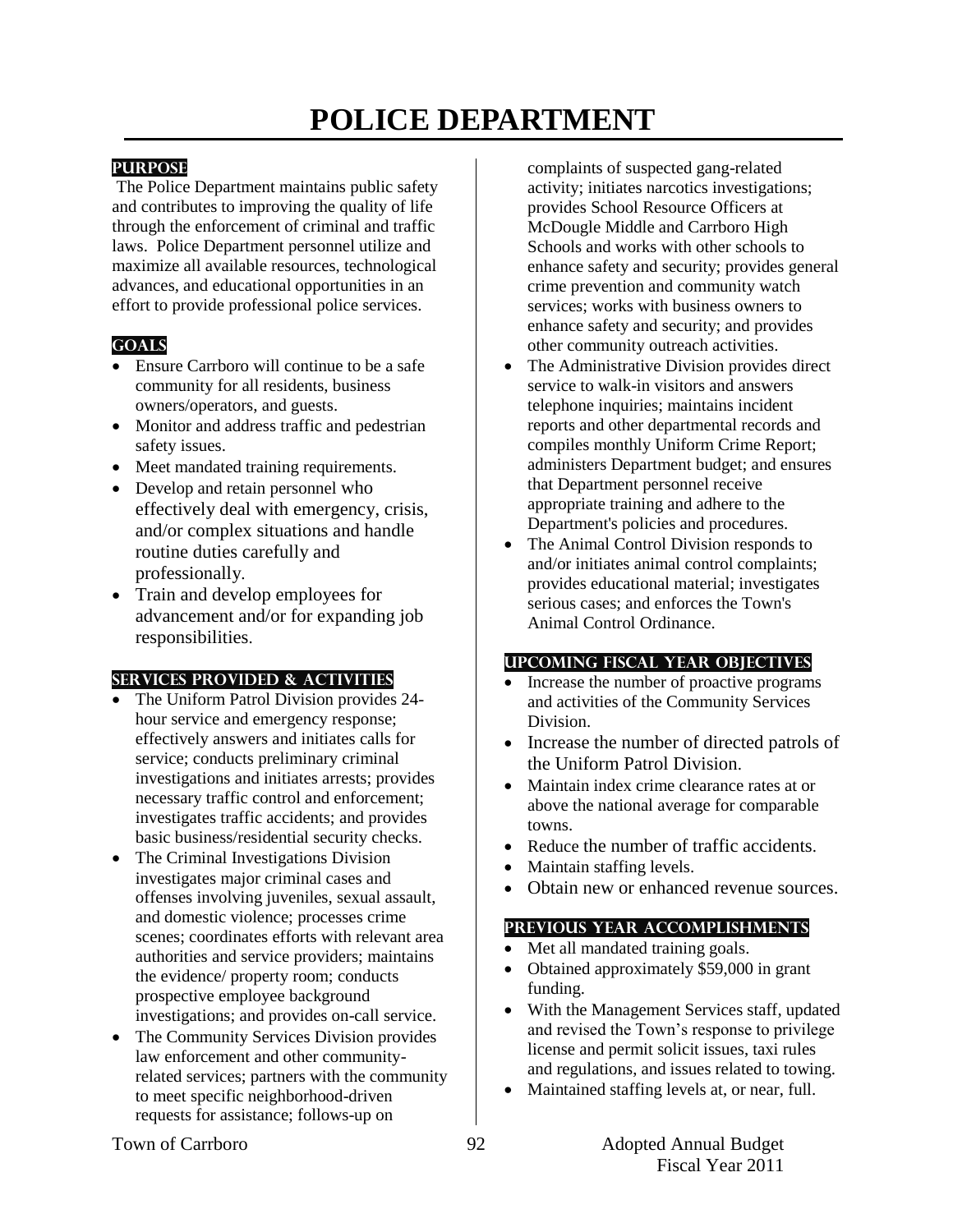# **POLICE DEPARTMENT**

#### **PURPOSE**

The Police Department maintains public safety and contributes to improving the quality of life through the enforcement of criminal and traffic laws. Police Department personnel utilize and maximize all available resources, technological advances, and educational opportunities in an effort to provide professional police services.

# **GOALS**

- Ensure Carrboro will continue to be a safe community for all residents, business owners/operators, and guests.
- Monitor and address traffic and pedestrian safety issues.
- Meet mandated training requirements.
- Develop and retain personnel who effectively deal with emergency, crisis, and/or complex situations and handle routine duties carefully and professionally.
- Train and develop employees for advancement and/or for expanding job responsibilities.

#### **SERVICES PROVIDED & ACTIVITIES**

- The Uniform Patrol Division provides 24 hour service and emergency response; effectively answers and initiates calls for service; conducts preliminary criminal investigations and initiates arrests; provides necessary traffic control and enforcement; investigates traffic accidents; and provides basic business/residential security checks.
- The Criminal Investigations Division investigates major criminal cases and offenses involving juveniles, sexual assault, and domestic violence; processes crime scenes; coordinates efforts with relevant area authorities and service providers; maintains the evidence/ property room; conducts prospective employee background investigations; and provides on-call service.
- The Community Services Division provides law enforcement and other communityrelated services; partners with the community to meet specific neighborhood-driven requests for assistance; follows-up on

complaints of suspected gang-related activity; initiates narcotics investigations; provides School Resource Officers at McDougle Middle and Carrboro High Schools and works with other schools to enhance safety and security; provides general crime prevention and community watch services; works with business owners to enhance safety and security; and provides other community outreach activities.

- The Administrative Division provides direct service to walk-in visitors and answers telephone inquiries; maintains incident reports and other departmental records and compiles monthly Uniform Crime Report; administers Department budget; and ensures that Department personnel receive appropriate training and adhere to the Department's policies and procedures.
- The Animal Control Division responds to and/or initiates animal control complaints; provides educational material; investigates serious cases; and enforces the Town's Animal Control Ordinance.

# **UPCOMING FISCAL YEAR OBJECTIVES**

- Increase the number of proactive programs and activities of the Community Services Division.
- Increase the number of directed patrols of the Uniform Patrol Division.
- Maintain index crime clearance rates at or above the national average for comparable towns.
- Reduce the number of traffic accidents.
- Maintain staffing levels.
- Obtain new or enhanced revenue sources.

#### **PREVIOUS YEAR ACCOMPLISHMENTS**

- Met all mandated training goals.
- Obtained approximately \$59,000 in grant funding.
- With the Management Services staff, updated and revised the Town's response to privilege license and permit solicit issues, taxi rules and regulations, and issues related to towing.
- Maintained staffing levels at, or near, full.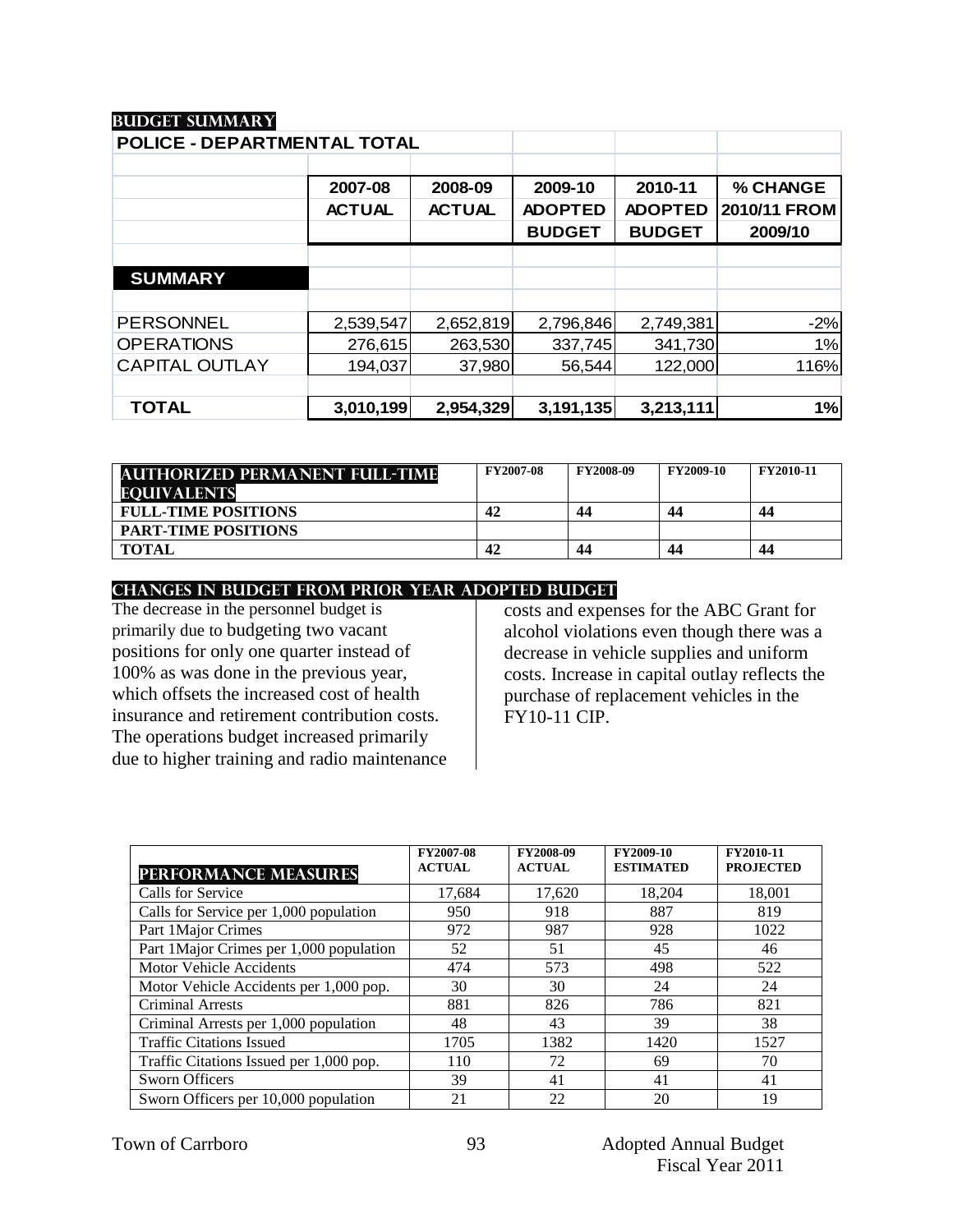| <b>POLICE - DEPARTMENTAL TOTAL</b> |               |               |                |                |              |
|------------------------------------|---------------|---------------|----------------|----------------|--------------|
|                                    |               |               |                |                |              |
|                                    | 2007-08       | 2008-09       | 2009-10        | 2010-11        | % CHANGE     |
|                                    | <b>ACTUAL</b> | <b>ACTUAL</b> | <b>ADOPTED</b> | <b>ADOPTED</b> | 2010/11 FROM |
|                                    |               |               | <b>BUDGET</b>  | <b>BUDGET</b>  | 2009/10      |
|                                    |               |               |                |                |              |
| <b>SUMMARY</b>                     |               |               |                |                |              |
|                                    |               |               |                |                |              |
| <b>PERSONNEL</b>                   | 2,539,547     | 2,652,819     | 2,796,846      | 2,749,381      | $-2%$        |
| <b>OPERATIONS</b>                  | 276,615       | 263,530       | 337,745        | 341,730        | 1%           |
| <b>CAPITAL OUTLAY</b>              | 194,037       | 37,980        | 56,544         | 122,000        | 116%         |
|                                    |               |               |                |                |              |
| <b>TOTAL</b>                       | 3,010,199     | 2,954,329     | 3,191,135      | 3,213,111      | 1%           |

| <b>AUTHORIZED PERMANENT FULL-TIME</b> | <b>FY2007-08</b> | <b>FY2008-09</b> | <b>FY2009-10</b> | <b>FY2010-11</b> |
|---------------------------------------|------------------|------------------|------------------|------------------|
| <b>EQUIVALENTS</b>                    |                  |                  |                  |                  |
| <b>FULL-TIME POSITIONS</b>            | 42               | 44               | 44               | 44               |
| <b>PART-TIME POSITIONS</b>            |                  |                  |                  |                  |
| <b>TOTAL</b>                          | 42               | 44               | 44               | 44               |

#### **CHANGES IN BUDGET from PRIOR YEAR ADOPTED BUDGET**

The decrease in the personnel budget is primarily due to budgeting two vacant positions for only one quarter instead of 100% as was done in the previous year, which offsets the increased cost of health insurance and retirement contribution costs. The operations budget increased primarily due to higher training and radio maintenance

# costs and expenses for the ABC Grant for alcohol violations even though there was a decrease in vehicle supplies and uniform costs. Increase in capital outlay reflects the purchase of replacement vehicles in the FY10-11 CIP.

| <b>PERFORMANCE MEASURES</b>              | FY2007-08<br><b>ACTUAL</b> | FY2008-09<br><b>ACTUAL</b> | FY2009-10<br><b>ESTIMATED</b> | FY2010-11<br><b>PROJECTED</b> |
|------------------------------------------|----------------------------|----------------------------|-------------------------------|-------------------------------|
| Calls for Service                        | 17,684                     | 17,620                     | 18,204                        | 18,001                        |
| Calls for Service per 1,000 population   | 950                        | 918                        | 887                           | 819                           |
| Part 1 Major Crimes                      | 972                        | 987                        | 928                           | 1022                          |
| Part 1 Major Crimes per 1,000 population | 52                         | 51                         | 45                            | 46                            |
| Motor Vehicle Accidents                  | 474                        | 573                        | 498                           | 522                           |
| Motor Vehicle Accidents per 1,000 pop.   | 30                         | 30                         | 24                            | 24                            |
| <b>Criminal Arrests</b>                  | 881                        | 826                        | 786                           | 821                           |
| Criminal Arrests per 1,000 population    | 48                         | 43                         | 39                            | 38                            |
| <b>Traffic Citations Issued</b>          | 1705                       | 1382                       | 1420                          | 1527                          |
| Traffic Citations Issued per 1,000 pop.  | 110                        | 72                         | 69                            | 70                            |
| <b>Sworn Officers</b>                    | 39                         | 41                         | 41                            | 41                            |
| Sworn Officers per 10,000 population     | 21                         | 22                         | 20                            | 19                            |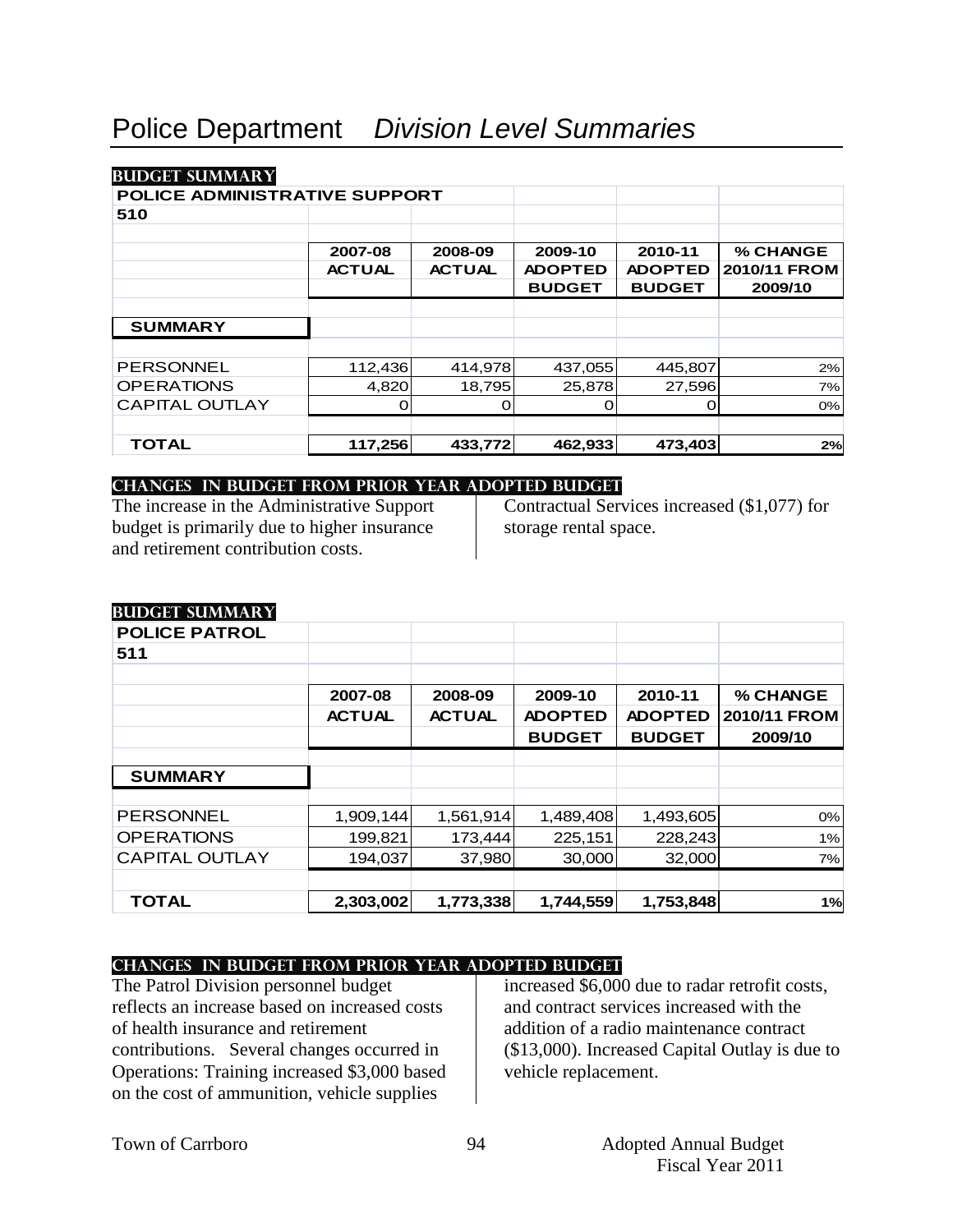| POLICE ADMINISTRATIVE SUPPORT |               |               |                |                |              |
|-------------------------------|---------------|---------------|----------------|----------------|--------------|
| 510                           |               |               |                |                |              |
|                               |               |               |                |                |              |
|                               | 2007-08       | 2008-09       | 2009-10        | 2010-11        | % CHANGE     |
|                               | <b>ACTUAL</b> | <b>ACTUAL</b> | <b>ADOPTED</b> | <b>ADOPTED</b> | 2010/11 FROM |
|                               |               |               | <b>BUDGET</b>  | <b>BUDGET</b>  | 2009/10      |
|                               |               |               |                |                |              |
| <b>SUMMARY</b>                |               |               |                |                |              |
|                               |               |               |                |                |              |
| <b>PERSONNEL</b>              | 112,436       | 414,978       | 437,055        | 445,807        | 2%           |
| <b>OPERATIONS</b>             | 4,820         | 18,795        | 25,878         | 27,596         | 7%           |
| <b>CAPITAL OUTLAY</b>         |               | О             | O              |                | 0%           |
|                               |               |               |                |                |              |
| <b>TOTAL</b>                  | 117,256       | 433,772       | 462,933        | 473,403        | 2%           |

#### **changes in budget from prior year adopted budget**

The increase in the Administrative Support budget is primarily due to higher insurance and retirement contribution costs.

Contractual Services increased (\$1,077) for storage rental space.

| Dad Oli Bannini in I  |               |               |                |                |              |
|-----------------------|---------------|---------------|----------------|----------------|--------------|
| <b>POLICE PATROL</b>  |               |               |                |                |              |
| 511                   |               |               |                |                |              |
|                       |               |               |                |                |              |
|                       | 2007-08       | 2008-09       | 2009-10        | 2010-11        | % CHANGE     |
|                       | <b>ACTUAL</b> | <b>ACTUAL</b> | <b>ADOPTED</b> | <b>ADOPTED</b> | 2010/11 FROM |
|                       |               |               | <b>BUDGET</b>  | <b>BUDGET</b>  | 2009/10      |
|                       |               |               |                |                |              |
| <b>SUMMARY</b>        |               |               |                |                |              |
|                       |               |               |                |                |              |
| <b>PERSONNEL</b>      | 1,909,144     | 1,561,914     | 1,489,408      | 1,493,605      | 0%           |
| <b>OPERATIONS</b>     | 199,821       | 173,444       | 225,151        | 228,243        | 1%           |
| <b>CAPITAL OUTLAY</b> | 194,037       | 37,980        | 30,000         | 32,000         | 7%           |
|                       |               |               |                |                |              |
| <b>TOTAL</b>          | 2,303,002     | 1,773,338     | 1,744,559      | 1,753,848      | 1%           |

# **Budget summary**

# **changes in budget from prior year adopted budget**

The Patrol Division personnel budget reflects an increase based on increased costs of health insurance and retirement contributions. Several changes occurred in Operations: Training increased \$3,000 based on the cost of ammunition, vehicle supplies

increased \$6,000 due to radar retrofit costs, and contract services increased with the addition of a radio maintenance contract (\$13,000). Increased Capital Outlay is due to vehicle replacement.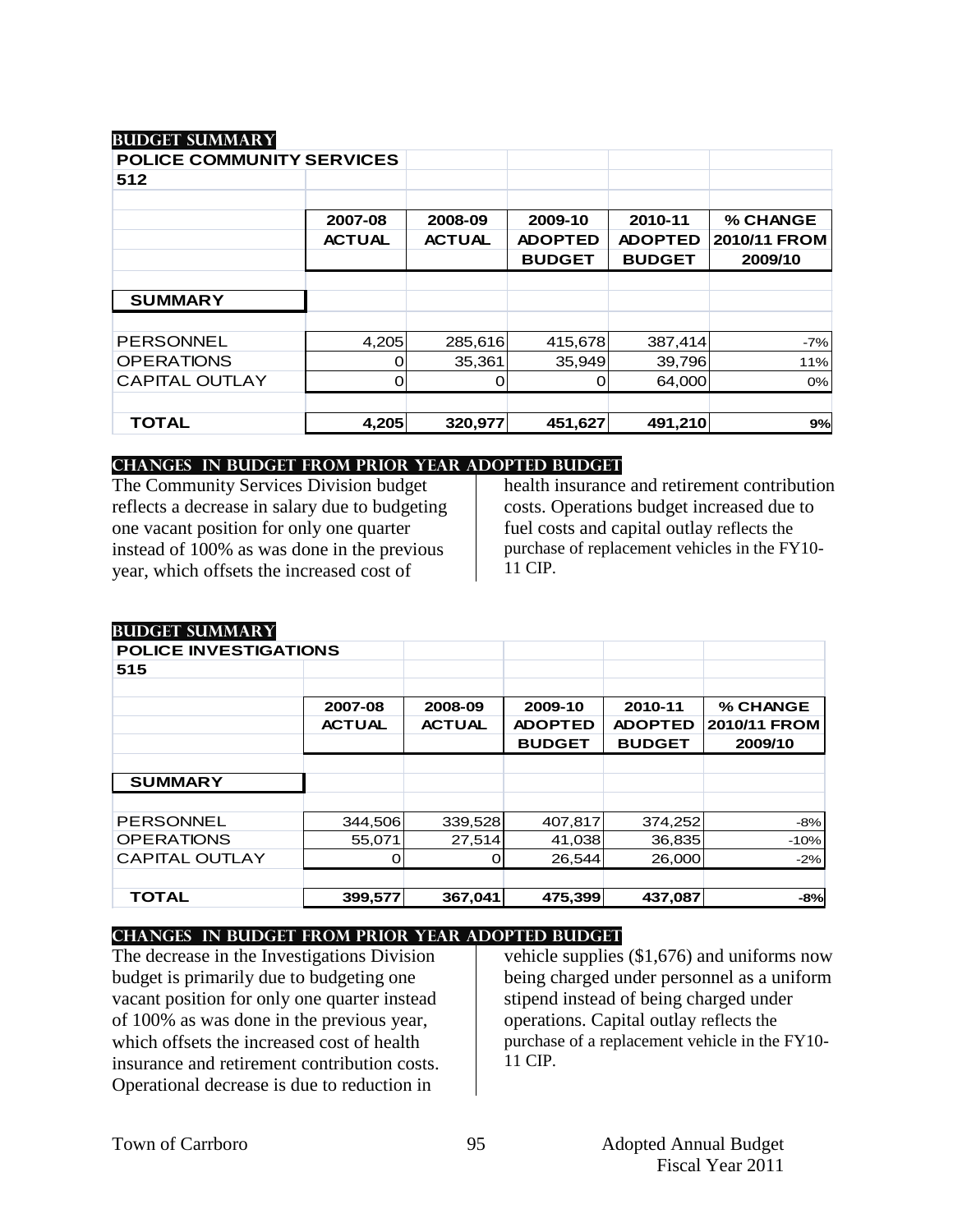**Budget summary**

| <b>POLICE COMMUNITY SERVICES</b> |               |               |                |                |              |
|----------------------------------|---------------|---------------|----------------|----------------|--------------|
| 512                              |               |               |                |                |              |
|                                  |               |               |                |                |              |
|                                  | 2007-08       | 2008-09       | 2009-10        | 2010-11        | % CHANGE     |
|                                  | <b>ACTUAL</b> | <b>ACTUAL</b> | <b>ADOPTED</b> | <b>ADOPTED</b> | 2010/11 FROM |
|                                  |               |               | <b>BUDGET</b>  | <b>BUDGET</b>  | 2009/10      |
|                                  |               |               |                |                |              |
| <b>SUMMARY</b>                   |               |               |                |                |              |
|                                  |               |               |                |                |              |
| <b>PERSONNEL</b>                 | 4,205         | 285,616       | 415,678        | 387,414        | $-7%$        |
| <b>OPERATIONS</b>                | O             | 35,361        | 35,949         | 39,796         | 11%          |
| <b>CAPITAL OUTLAY</b>            | 0             | O             | O              | 64,000         | 0%           |
|                                  |               |               |                |                |              |
| TOTAL                            | 4,205         | 320,977       | 451,627        | 491,210        | 9%           |

#### **changes in budget from prior year adopted budget**

The Community Services Division budget reflects a decrease in salary due to budgeting one vacant position for only one quarter instead of 100% as was done in the previous year, which offsets the increased cost of

health insurance and retirement contribution costs. Operations budget increased due to fuel costs and capital outlay reflects the purchase of replacement vehicles in the FY10- 11 CIP.

| DULJULI SUMINIAN I           |               |               |                |                |              |
|------------------------------|---------------|---------------|----------------|----------------|--------------|
| <b>POLICE INVESTIGATIONS</b> |               |               |                |                |              |
| 515                          |               |               |                |                |              |
|                              |               |               |                |                |              |
|                              | 2007-08       | 2008-09       | 2009-10        | 2010-11        | % CHANGE     |
|                              | <b>ACTUAL</b> | <b>ACTUAL</b> | <b>ADOPTED</b> | <b>ADOPTED</b> | 2010/11 FROM |
|                              |               |               | <b>BUDGET</b>  | <b>BUDGET</b>  | 2009/10      |
|                              |               |               |                |                |              |
| <b>SUMMARY</b>               |               |               |                |                |              |
|                              |               |               |                |                |              |
| <b>PERSONNEL</b>             | 344,506       | 339,528       | 407,817        | 374,252        | $-8%$        |
| <b>OPERATIONS</b>            | 55,071        | 27,514        | 41,038         | 36,835         | $-10%$       |
| <b>CAPITAL OUTLAY</b>        |               | 0             | 26,544         | 26,000         | $-2%$        |
|                              |               |               |                |                |              |
| <b>TOTAL</b>                 | 399,577       | 367,041       | 475,399        | 437,087        | $-8%$        |

# **changes in budget from prior year adopted budget**

The decrease in the Investigations Division budget is primarily due to budgeting one vacant position for only one quarter instead of 100% as was done in the previous year, which offsets the increased cost of health insurance and retirement contribution costs. Operational decrease is due to reduction in

vehicle supplies (\$1,676) and uniforms now being charged under personnel as a uniform stipend instead of being charged under operations. Capital outlay reflects the purchase of a replacement vehicle in the FY10- 11 CIP.